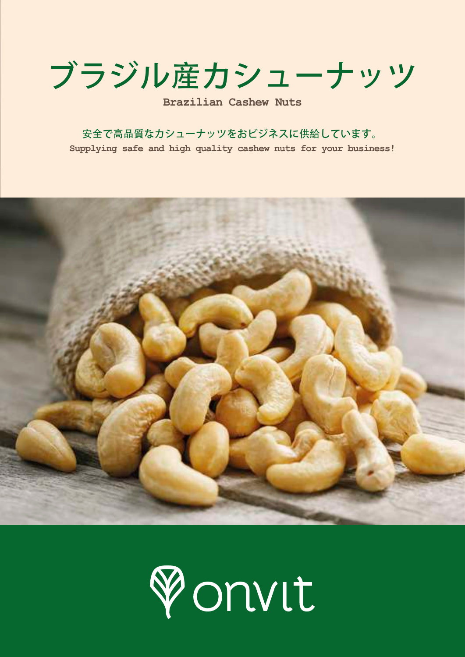ブラジル産カシューナッツ

**Brazilian Cashew Nuts**

安全で高品質なカシューナッツをおビジネスに供給しています。 **Supplying safe and high quality cashew nuts for your business!**



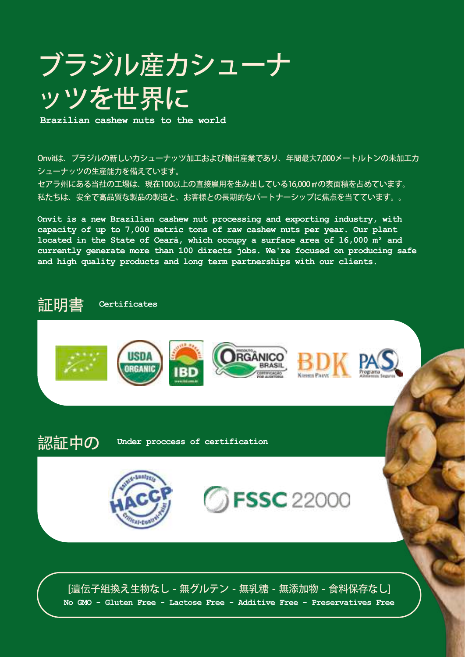## ブラジル産カシューナ ッツを世界に

**Brazilian cashew nuts to the world**

Onvitは、ブラジルの新しいカシューナッツ加工および輸出産業であり、年間最大7,000メートルトンの未加工カ シューナッツの生産能力を備えています。 セアラ州にある当社の工場は、現在100以上の直接雇用を生み出している16,000㎡の表面積を占めています。 私たちは、安全で高品質な製品の製造と、お客様との長期的なパートナーシップに焦点を当てています。。

**Onvit is a new Brazilian cashew nut processing and exporting industry, with capacity of up to 7,000 metric tons of raw cashew nuts per year. Our plant located in the State of Ceará, which occupy a surface area of 16,000 m² and currently generate more than 100 directs jobs. We're focused on producing safe and high quality products and long term partnerships with our clients.**

## 証明書 **Certificates**



認証中の **Under proccess of certification**





[遺伝子組換え生物なし - 無グルテン - 無乳糖 - 無添加物 - 食料保存なし] **No GMO - Gluten Free - Lactose Free - Additive Free - Preservatives Free**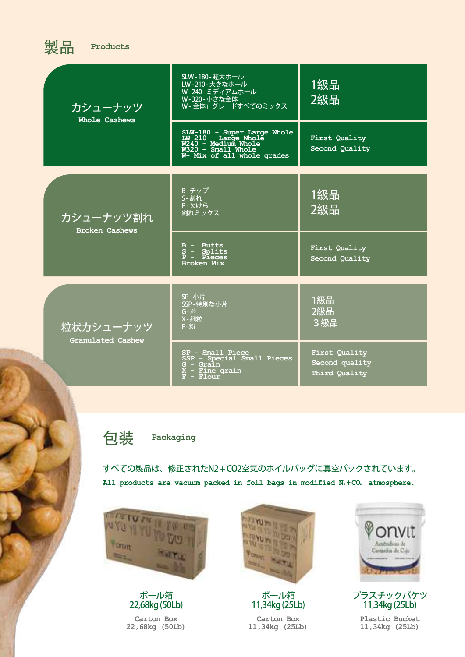| 哭而<br><b>Products</b>              |                                                                                                                                |                                                  |
|------------------------------------|--------------------------------------------------------------------------------------------------------------------------------|--------------------------------------------------|
| カシューナッツ<br>Whole Cashews           | SLW-180-超大ホール<br>LW-210-大きなホール<br>W-240-ミディアムホール<br>W-320-小さな全体<br>W-全体」グレードすべてのミックス                                           | 1級品<br>2級品                                       |
|                                    | SLW-180 - Super Large Whole<br>LW-210 - Large Whole<br>W240 - Medium Whole<br>W320 - Small Whole<br>W- Mix of all whole grades | First Quality<br>Second Quality                  |
| カシューナッツ割れ<br><b>Broken Cashews</b> | B-チップ<br><b>S-割れ</b><br>P-欠けら<br>割れミックス                                                                                        | 1級品<br>2級品                                       |
|                                    | $B - Butts$<br>$S -$ Splits<br>$P - P \overline{I} \overline{e} \overline{e}$<br><b>Broken Mix</b>                             | First Quality<br>Second Quality                  |
| 粒状カシューナッツ<br>Granulated Cashew     | SP-小片<br>SSP-特別な小片<br>G-粒<br>X-細粒<br>$F - #H$                                                                                  | 1級品<br>2級品<br>3級品                                |
|                                    | $SP - Small$ Piece<br>SSP - Special Small Pieces<br>$G -$ Grain<br>$X -$ Fine grain<br>$F -$ Flour                             | First Quality<br>Second quality<br>Third Quality |

包装 **Packaging**

製品 **Products**

すべての製品は、修正されたN2 + CO2空気のホイルバッグに真空パックされています。 All products are vacuum packed in foil bags in modified  $N_2 + CO_2$  atmosphere.



ボール箱 22,68kg (50Lb)

**Carton Box 22,68kg (50Lb)**



ボール箱 11,34kg (25Lb) **Carton Box 11,34kg (25Lb)**



プラスチックバケツ 11,34kg (25Lb)

**Plastic Bucket 11,34kg (25Lb)**